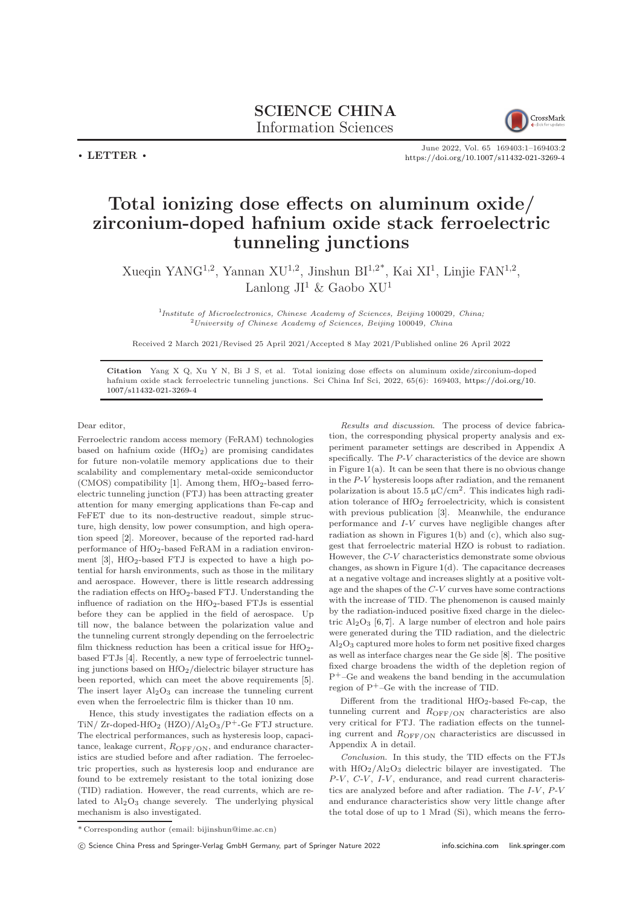## SCIENCE CHINA Information Sciences



 $\cdot$  LETTER  $\cdot$ 

June 2022, Vol. 65 169403:1–169403[:2](#page-1-0) <https://doi.org/10.1007/s11432-021-3269-4>

## Total ionizing dose effects on aluminum oxide/ zirconium-doped hafnium oxide stack ferroelectric tunneling junctions

Xueqin YANG<sup>1,2</sup>, Yannan XU<sup>1,2</sup>, Jinshun BI<sup>1,2\*</sup>, Kai XI<sup>1</sup>, Linjie FAN<sup>1,2</sup>, Lanlong  $JI^1 \&$  Gaobo  $XU^1$ 

<sup>1</sup>Institute of Microelectronics, Chinese Academy of Sciences, Beijing 100029, China;  $2$ University of Chinese Academy of Sciences, Beijing 100049, China

Received 2 March 2021/Revised 25 April 2021/Accepted 8 May 2021/Published online 26 April 2022

Citation Yang X Q, Xu Y N, Bi J S, et al. Total ionizing dose effects on aluminum oxide/zirconium-doped hafnium oxide stack ferroelectric tunneling junctions. Sci China Inf Sci, 2022, 65(6): 169403, [https://doi.org/10.](https://doi.org/10.1007/s11432-021-3269-4) [1007/s11432-021-3269-4](https://doi.org/10.1007/s11432-021-3269-4)

Dear editor,

Ferroelectric random access memory (FeRAM) technologies based on hafnium oxide  $(HfO<sub>2</sub>)$  are promising candidates for future non-volatile memory applications due to their scalability and complementary metal-oxide semiconductor (CMOS) compatibility [\[1\]](#page-1-1). Among them,  $HfO<sub>2</sub>$ -based ferroelectric tunneling junction (FTJ) has been attracting greater attention for many emerging applications than Fe-cap and FeFET due to its non-destructive readout, simple structure, high density, low power consumption, and high operation speed [\[2\]](#page-1-2). Moreover, because of the reported rad-hard performance of HfO<sub>2</sub>-based FeRAM in a radiation environment  $[3]$ , HfO<sub>2</sub>-based FTJ is expected to have a high potential for harsh environments, such as those in the military and aerospace. However, there is little research addressing the radiation effects on  $HfO_2$ -based FTJ. Understanding the influence of radiation on the  $HfO_2$ -based FTJs is essential before they can be applied in the field of aerospace. Up till now, the balance between the polarization value and the tunneling current strongly depending on the ferroelectric film thickness reduction has been a critical issue for  $HfO<sub>2</sub>$ based FTJs [\[4\]](#page-1-4). Recently, a new type of ferroelectric tunneling junctions based on  $HfO<sub>2</sub>/dielectric bilayer structure has$ been reported, which can meet the above requirements [\[5\]](#page-1-5). The insert layer  $Al_2O_3$  can increase the tunneling current even when the ferroelectric film is thicker than 10 nm.

Hence, this study investigates the radiation effects on a TiN/ Zr-doped-HfO<sub>2</sub> (HZO)/ $Al_2O_3/P^+$ -Ge FTJ structure. The electrical performances, such as hysteresis loop, capacitance, leakage current,  $R_{\text{OFF/ON}}$ , and endurance characteristics are studied before and after radiation. The ferroelectric properties, such as hysteresis loop and endurance are found to be extremely resistant to the total ionizing dose (TID) radiation. However, the read currents, which are related to  $Al_2O_3$  change severely. The underlying physical mechanism is also investigated.

Results and discussion. The process of device fabrication, the corresponding physical property analysis and experiment parameter settings are described in Appendix A specifically. The P-V characteristics of the device are shown in Figure [1\(](#page-1-6)a). It can be seen that there is no obvious change in the P-V hysteresis loops after radiation, and the remanent polarization is about  $15.5 \,\mu$ C/cm<sup>2</sup>. This indicates high radiation tolerance of  $HfO<sub>2</sub>$  ferroelectricity, which is consistent with previous publication [\[3\]](#page-1-3). Meanwhile, the endurance performance and I-V curves have negligible changes after radiation as shown in Figures [1\(](#page-1-6)b) and (c), which also suggest that ferroelectric material HZO is robust to radiation. However, the C-V characteristics demonstrate some obvious changes, as shown in Figure [1\(](#page-1-6)d). The capacitance decreases at a negative voltage and increases slightly at a positive voltage and the shapes of the C-V curves have some contractions with the increase of TID. The phenomenon is caused mainly by the radiation-induced positive fixed charge in the dielectric  $Al_2O_3$  [\[6,](#page-1-7) [7\]](#page-1-8). A large number of electron and hole pairs were generated during the TID radiation, and the dielectric  $A<sub>2</sub>O<sub>3</sub>$  captured more holes to form net positive fixed charges as well as interface charges near the Ge side [\[8\]](#page-1-9). The positive fixed charge broadens the width of the depletion region of P+–Ge and weakens the band bending in the accumulation region of P+–Ge with the increase of TID.

Different from the traditional  $HfO_2$ -based Fe-cap, the tunneling current and  $R_{\text{OFF/ON}}$  characteristics are also very critical for FTJ. The radiation effects on the tunneling current and ROFF/ON characteristics are discussed in Appendix A in detail.

Conclusion. In this study, the TID effects on the FTJs with HfO2/Al2O3 dielectric bilayer are investigated. The  $P-V$ ,  $C-V$ ,  $I-V$ , endurance, and read current characteristics are analyzed before and after radiation. The  $I-V$ ,  $P-V$ and endurance characteristics show very little change after the total dose of up to 1 Mrad (Si), which means the ferro-

c Science China Press and Springer-Verlag GmbH Germany, part of Springer Nature 2022 <info.scichina.com><link.springer.com>

<sup>\*</sup> Corresponding author (email: bijinshun@ime.ac.cn)